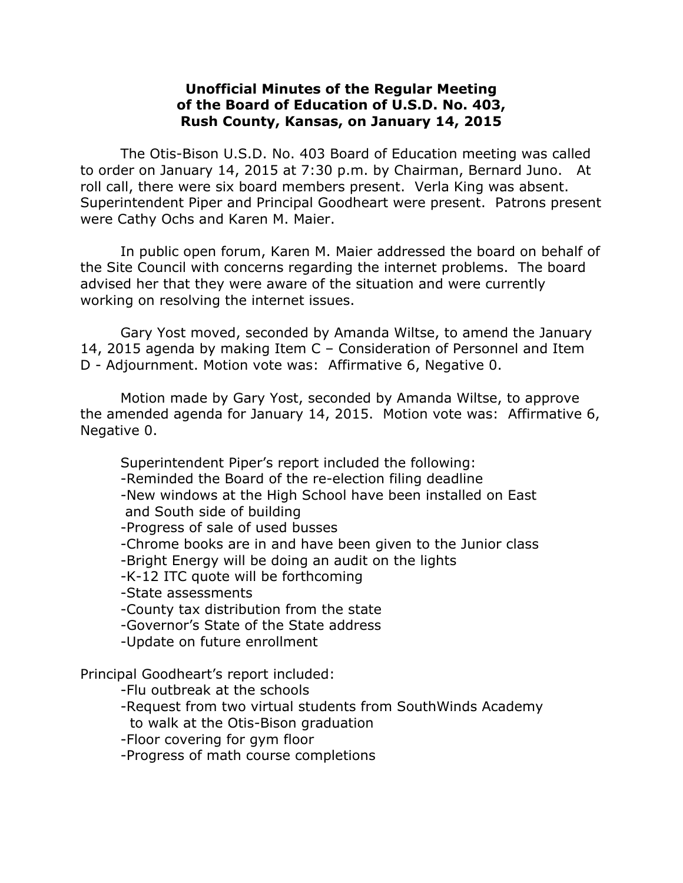## **Unofficial Minutes of the Regular Meeting of the Board of Education of U.S.D. No. 403, Rush County, Kansas, on January 14, 2015**

The Otis-Bison U.S.D. No. 403 Board of Education meeting was called to order on January 14, 2015 at 7:30 p.m. by Chairman, Bernard Juno. At roll call, there were six board members present. Verla King was absent. Superintendent Piper and Principal Goodheart were present. Patrons present were Cathy Ochs and Karen M. Maier.

In public open forum, Karen M. Maier addressed the board on behalf of the Site Council with concerns regarding the internet problems. The board advised her that they were aware of the situation and were currently working on resolving the internet issues.

Gary Yost moved, seconded by Amanda Wiltse, to amend the January 14, 2015 agenda by making Item C – Consideration of Personnel and Item D - Adjournment. Motion vote was: Affirmative 6, Negative 0.

Motion made by Gary Yost, seconded by Amanda Wiltse, to approve the amended agenda for January 14, 2015. Motion vote was: Affirmative 6, Negative 0.

Superintendent Piper's report included the following:

-Reminded the Board of the re-election filing deadline

-New windows at the High School have been installed on East and South side of building

-Progress of sale of used busses

-Chrome books are in and have been given to the Junior class

-Bright Energy will be doing an audit on the lights

-K-12 ITC quote will be forthcoming

-State assessments

-County tax distribution from the state

-Governor's State of the State address

-Update on future enrollment

Principal Goodheart's report included:

-Flu outbreak at the schools

-Request from two virtual students from SouthWinds Academy

to walk at the Otis-Bison graduation

-Floor covering for gym floor

-Progress of math course completions